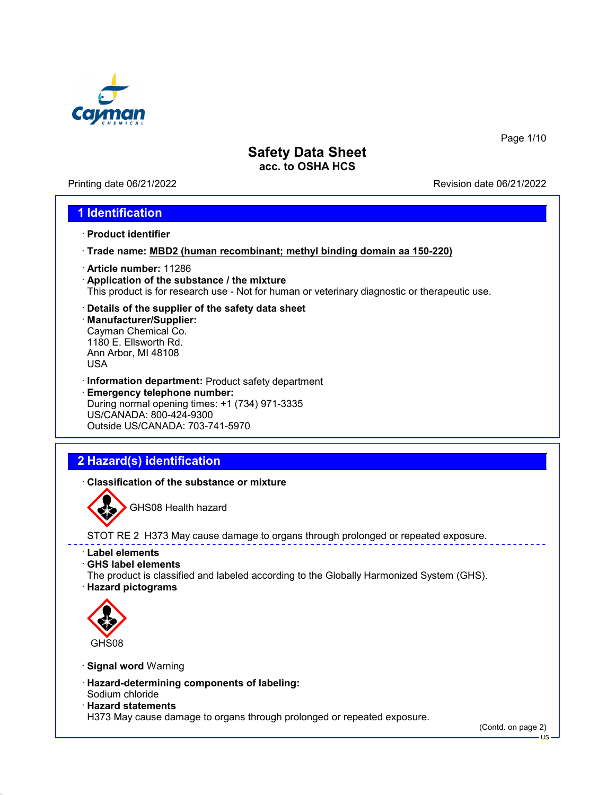

Printing date 06/21/2022 Revision date 06/21/2022

Page 1/10

## **1 Identification**

- · **Product identifier**
- · **Trade name: MBD2 (human recombinant; methyl binding domain aa 150-220)**
- · **Article number:** 11286
- · **Application of the substance / the mixture** This product is for research use - Not for human or veterinary diagnostic or therapeutic use.
- · **Details of the supplier of the safety data sheet**
- · **Manufacturer/Supplier:** Cayman Chemical Co. 1180 E. Ellsworth Rd. Ann Arbor, MI 48108 USA
- · **Information department:** Product safety department · **Emergency telephone number:** During normal opening times: +1 (734) 971-3335 US/CANADA: 800-424-9300 Outside US/CANADA: 703-741-5970

# **2 Hazard(s) identification**

· **Classification of the substance or mixture**



GHS08 Health hazard

STOT RE 2 H373 May cause damage to organs through prolonged or repeated exposure.

- · **Label elements**
- · **GHS label elements**
- The product is classified and labeled according to the Globally Harmonized System (GHS).
- · **Hazard pictograms**



- · **Signal word** Warning
- · **Hazard-determining components of labeling:** Sodium chloride
- · **Hazard statements**

H373 May cause damage to organs through prolonged or repeated exposure.

(Contd. on page 2)

US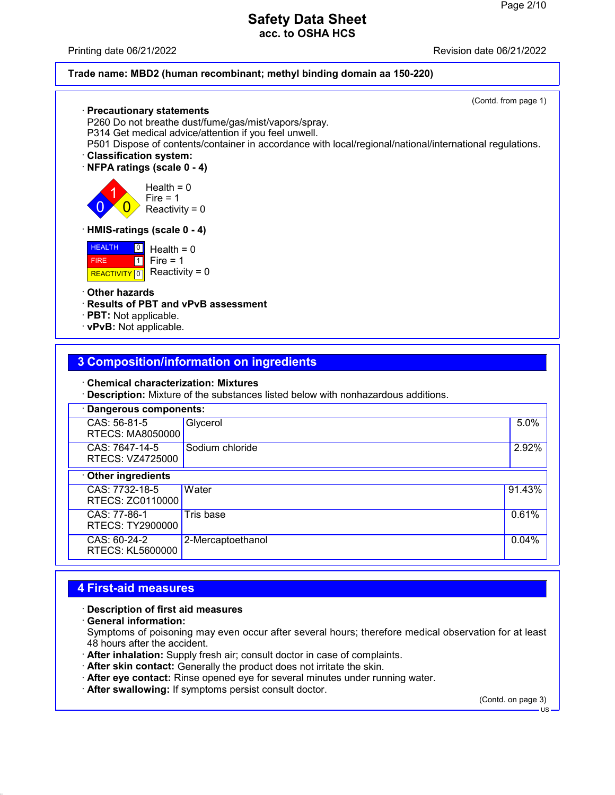Printing date 06/21/2022 Revision date 06/21/2022

### **Trade name: MBD2 (human recombinant; methyl binding domain aa 150-220)**

| · Precautionary statements<br>P260 Do not breathe dust/fume/gas/mist/vapors/spray.<br>P314 Get medical advice/attention if you feel unwell.<br>P501 Dispose of contents/container in accordance with local/regional/national/international regulations.<br><b>Classification system:</b><br>NFPA ratings (scale 0 - 4) | (Contd. from page 1) |
|------------------------------------------------------------------------------------------------------------------------------------------------------------------------------------------------------------------------------------------------------------------------------------------------------------------------|----------------------|
| Health = $0$<br>Fire $= 1$<br>Reactivity = $0$                                                                                                                                                                                                                                                                         |                      |
| · HMIS-ratings (scale 0 - 4)                                                                                                                                                                                                                                                                                           |                      |
| <b>HEALTH</b><br>$\boxed{0}$<br>Health = $0$<br>$\blacksquare$<br>Fire = $1$<br><b>FIRE</b><br>Reactivity = $0$<br><b>REACTIVITY</b> 0                                                                                                                                                                                 |                      |
| Other hazards<br>· Results of PBT and vPvB assessment<br>$\cdot$ PBT: Not applicable.<br>· vPvB: Not applicable.                                                                                                                                                                                                       |                      |
|                                                                                                                                                                                                                                                                                                                        |                      |
| <b>3 Composition/information on ingredients</b>                                                                                                                                                                                                                                                                        |                      |
| <b>Chemical characterization: Mixtures</b><br>· Description: Mixture of the substances listed below with nonhazardous additions.                                                                                                                                                                                       |                      |
| Dangerous components:                                                                                                                                                                                                                                                                                                  |                      |
| CAS: 56-81-5<br>Glycerol                                                                                                                                                                                                                                                                                               | 5.0%                 |

| <b>RTECS: MA8050000</b>                   |                   |          |
|-------------------------------------------|-------------------|----------|
| CAS: 7647-14-5<br>RTECS: VZ4725000        | Sodium chloride   | 2.92%    |
| Other ingredients                         |                   |          |
| CAS: 7732-18-5<br><b>RTECS: ZC0110000</b> | Water             | 91.43%   |
| CAS: 77-86-1<br>RTECS: TY2900000          | Tris base         | 0.61%    |
| CAS: 60-24-2<br><b>RTECS: KL5600000</b>   | 2-Mercaptoethanol | $0.04\%$ |
|                                           |                   |          |

# **4 First-aid measures**

### · **Description of first aid measures**

· **General information:**

Symptoms of poisoning may even occur after several hours; therefore medical observation for at least 48 hours after the accident.

- · **After inhalation:** Supply fresh air; consult doctor in case of complaints.
- · **After skin contact:** Generally the product does not irritate the skin.
- · **After eye contact:** Rinse opened eye for several minutes under running water.
- · **After swallowing:** If symptoms persist consult doctor.

(Contd. on page 3)

US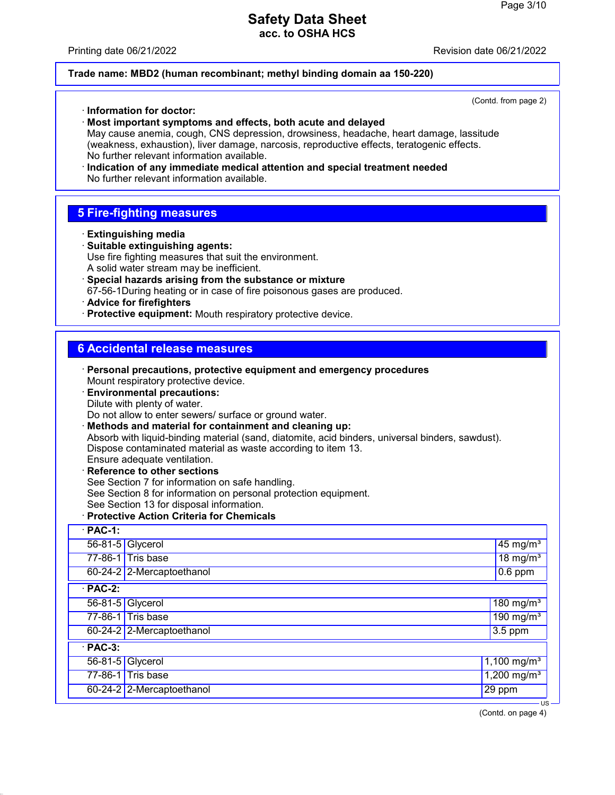#### Printing date 06/21/2022 Revision date 06/21/2022

### **Trade name: MBD2 (human recombinant; methyl binding domain aa 150-220)**

(Contd. from page 2) · **Information for doctor:** · **Most important symptoms and effects, both acute and delayed** May cause anemia, cough, CNS depression, drowsiness, headache, heart damage, lassitude (weakness, exhaustion), liver damage, narcosis, reproductive effects, teratogenic effects. No further relevant information available. · **Indication of any immediate medical attention and special treatment needed** No further relevant information available. **5 Fire-fighting measures** · **Extinguishing media** · **Suitable extinguishing agents:** Use fire fighting measures that suit the environment. A solid water stream may be inefficient. · **Special hazards arising from the substance or mixture** 67-56-1During heating or in case of fire poisonous gases are produced. · **Advice for firefighters** · **Protective equipment:** Mouth respiratory protective device.

## **6 Accidental release measures**

- · **Personal precautions, protective equipment and emergency procedures** Mount respiratory protective device.
- · **Environmental precautions:** Dilute with plenty of water. Do not allow to enter sewers/ surface or ground water.
- · **Methods and material for containment and cleaning up:** Absorb with liquid-binding material (sand, diatomite, acid binders, universal binders, sawdust). Dispose contaminated material as waste according to item 13. Ensure adequate ventilation.
- · **Reference to other sections** See Section 7 for information on safe handling. See Section 8 for information on personal protection equipment. See Section 13 for disposal information.
- · **Protective Action Criteria for Chemicals** · **PAC-1:**

| PAU-I.         |                           |                                |
|----------------|---------------------------|--------------------------------|
|                | 56-81-5 Glycerol          | $45 \,\mathrm{mg/m^3}$         |
|                | 77-86-1 Tris base         | $18 \text{ mg/m}^3$            |
|                | 60-24-2 2-Mercaptoethanol | $0.6$ ppm                      |
| $\cdot$ PAC-2: |                           |                                |
|                | 56-81-5 Glycerol          | $180 \text{ mg/m}^3$           |
|                | 77-86-1 Tris base         | $\sqrt{190}$ mg/m <sup>3</sup> |
|                | 60-24-2 2-Mercaptoethanol | $3.5$ ppm                      |
| $·$ PAC-3:     |                           |                                |
|                | 56-81-5 Glycerol          | 1,100 mg/m <sup>3</sup>        |
|                | 77-86-1 Tris base         | $1,200$ mg/m <sup>3</sup>      |
|                | 60-24-2 2-Mercaptoethanol | $\sqrt{29}$ ppm                |

(Contd. on page 4)

US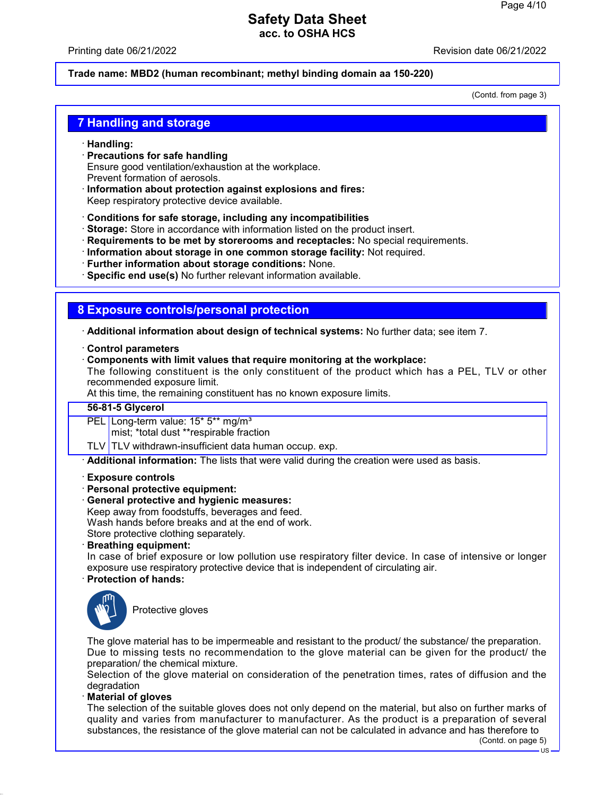Printing date 06/21/2022 Revision date 06/21/2022

### **Trade name: MBD2 (human recombinant; methyl binding domain aa 150-220)**

(Contd. from page 3)

### **7 Handling and storage**

- · **Handling:**
- · **Precautions for safe handling** Ensure good ventilation/exhaustion at the workplace. Prevent formation of aerosols.
- · **Information about protection against explosions and fires:** Keep respiratory protective device available.
- · **Conditions for safe storage, including any incompatibilities**
- · **Storage:** Store in accordance with information listed on the product insert.
- · **Requirements to be met by storerooms and receptacles:** No special requirements.
- · **Information about storage in one common storage facility:** Not required.
- · **Further information about storage conditions:** None.
- · **Specific end use(s)** No further relevant information available.

## **8 Exposure controls/personal protection**

· **Additional information about design of technical systems:** No further data; see item 7.

#### · **Control parameters**

· **Components with limit values that require monitoring at the workplace:**

The following constituent is the only constituent of the product which has a PEL, TLV or other recommended exposure limit.

At this time, the remaining constituent has no known exposure limits.

#### **56-81-5 Glycerol**

PEL Long-term value: 15<sup>\*</sup> 5<sup>\*\*</sup> mg/m<sup>3</sup>

mist; \*total dust \*\*respirable fraction

TLV TLV withdrawn-insufficient data human occup. exp.

· **Additional information:** The lists that were valid during the creation were used as basis.

- · **Exposure controls**
- · **Personal protective equipment:**
- · **General protective and hygienic measures:**

Keep away from foodstuffs, beverages and feed.

Wash hands before breaks and at the end of work.

Store protective clothing separately.

· **Breathing equipment:**

In case of brief exposure or low pollution use respiratory filter device. In case of intensive or longer exposure use respiratory protective device that is independent of circulating air.

### · **Protection of hands:**



Protective gloves

The glove material has to be impermeable and resistant to the product/ the substance/ the preparation. Due to missing tests no recommendation to the glove material can be given for the product/ the preparation/ the chemical mixture.

Selection of the glove material on consideration of the penetration times, rates of diffusion and the degradation

#### · **Material of gloves**

The selection of the suitable gloves does not only depend on the material, but also on further marks of quality and varies from manufacturer to manufacturer. As the product is a preparation of several substances, the resistance of the glove material can not be calculated in advance and has therefore to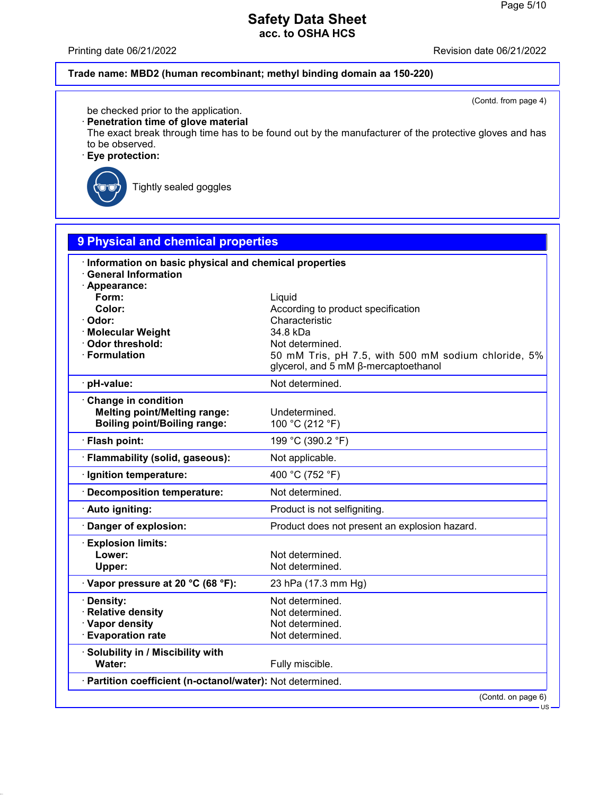Printing date 06/21/2022 **Revision date 06/21/2022** 

## **Trade name: MBD2 (human recombinant; methyl binding domain aa 150-220)**

(Contd. from page 4)

US

be checked prior to the application.

· **Penetration time of glove material**

The exact break through time has to be found out by the manufacturer of the protective gloves and has to be observed.

· **Eye protection:**



Tightly sealed goggles

| 9 Physical and chemical properties                                                                                                                                                         |                                                                                                                                                                                              |  |
|--------------------------------------------------------------------------------------------------------------------------------------------------------------------------------------------|----------------------------------------------------------------------------------------------------------------------------------------------------------------------------------------------|--|
| Information on basic physical and chemical properties<br><b>General Information</b><br>· Appearance:<br>Form:<br>Color:<br>Odor:<br>· Molecular Weight<br>Odor threshold:<br>· Formulation | Liquid<br>According to product specification<br>Characteristic<br>34.8 kDa<br>Not determined.<br>50 mM Tris, pH 7.5, with 500 mM sodium chloride, 5%<br>glycerol, and 5 mM ß-mercaptoethanol |  |
| pH-value:                                                                                                                                                                                  | Not determined.                                                                                                                                                                              |  |
| Change in condition<br><b>Melting point/Melting range:</b><br><b>Boiling point/Boiling range:</b>                                                                                          | Undetermined.<br>100 °C (212 °F)                                                                                                                                                             |  |
| · Flash point:                                                                                                                                                                             | 199 °C (390.2 °F)                                                                                                                                                                            |  |
| · Flammability (solid, gaseous):                                                                                                                                                           | Not applicable.                                                                                                                                                                              |  |
| · Ignition temperature:                                                                                                                                                                    | 400 °C (752 °F)                                                                                                                                                                              |  |
| · Decomposition temperature:                                                                                                                                                               | Not determined.                                                                                                                                                                              |  |
| · Auto igniting:                                                                                                                                                                           | Product is not selfigniting.                                                                                                                                                                 |  |
| Danger of explosion:                                                                                                                                                                       | Product does not present an explosion hazard.                                                                                                                                                |  |
| <b>Explosion limits:</b><br>Lower:<br>Upper:                                                                                                                                               | Not determined.<br>Not determined.                                                                                                                                                           |  |
| Vapor pressure at 20 °C (68 °F):                                                                                                                                                           | 23 hPa (17.3 mm Hg)                                                                                                                                                                          |  |
| · Density:<br>· Relative density<br>· Vapor density<br><b>Evaporation rate</b>                                                                                                             | Not determined.<br>Not determined.<br>Not determined.<br>Not determined.                                                                                                                     |  |
| · Solubility in / Miscibility with<br>Water:                                                                                                                                               | Fully miscible.                                                                                                                                                                              |  |
| · Partition coefficient (n-octanol/water): Not determined.                                                                                                                                 |                                                                                                                                                                                              |  |
|                                                                                                                                                                                            | (Contd. on page 6)                                                                                                                                                                           |  |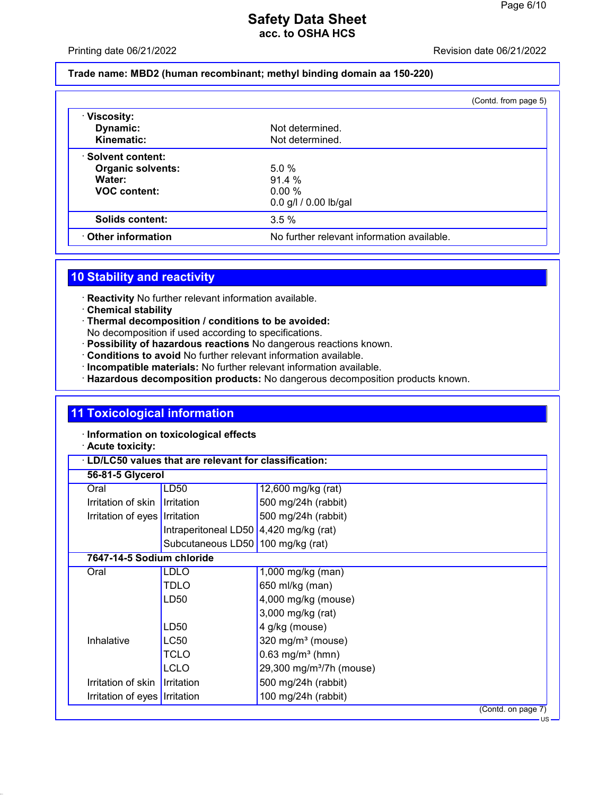Printing date 06/21/2022 Revision date 06/21/2022

### **Trade name: MBD2 (human recombinant; methyl binding domain aa 150-220)**

|                          |                                            | (Contd. from page 5) |
|--------------------------|--------------------------------------------|----------------------|
| · Viscosity:             |                                            |                      |
| Dynamic:                 | Not determined.                            |                      |
| Kinematic:               | Not determined.                            |                      |
| · Solvent content:       |                                            |                      |
| <b>Organic solvents:</b> | 5.0%                                       |                      |
| Water:                   | 91.4 %                                     |                      |
| <b>VOC content:</b>      | 0.00%                                      |                      |
|                          | $0.0$ g/l $/ 0.00$ lb/gal                  |                      |
| Solids content:          | 3.5%                                       |                      |
| Other information        | No further relevant information available. |                      |

# **10 Stability and reactivity**

· **Reactivity** No further relevant information available.

- · **Chemical stability**
- · **Thermal decomposition / conditions to be avoided:** No decomposition if used according to specifications.
- · **Possibility of hazardous reactions** No dangerous reactions known.
- · **Conditions to avoid** No further relevant information available.
- · **Incompatible materials:** No further relevant information available.
- · **Hazardous decomposition products:** No dangerous decomposition products known.

# **11 Toxicological information**

· **Information on toxicological effects**

## · **Acute toxicity:**

| LD/LC50 values that are relevant for classification: |                                        |                                      |
|------------------------------------------------------|----------------------------------------|--------------------------------------|
| 56-81-5 Glycerol                                     |                                        |                                      |
| Oral                                                 | LD50                                   | 12,600 mg/kg (rat)                   |
| Irritation of skin I Irritation                      |                                        | 500 mg/24h (rabbit)                  |
| Irritation of eyes   Irritation                      |                                        | 500 mg/24h (rabbit)                  |
|                                                      | Intraperitoneal LD50 4,420 mg/kg (rat) |                                      |
|                                                      | Subcutaneous LD50 100 mg/kg (rat)      |                                      |
| 7647-14-5 Sodium chloride                            |                                        |                                      |
| Oral                                                 | <b>LDLO</b>                            | 1,000 mg/kg (man)                    |
|                                                      | TDLO                                   | 650 ml/kg (man)                      |
|                                                      | LD50                                   | 4,000 mg/kg (mouse)                  |
|                                                      |                                        | 3,000 mg/kg (rat)                    |
|                                                      | LD50                                   | 4 g/kg (mouse)                       |
| Inhalative                                           | LC50                                   | 320 mg/m <sup>3</sup> (mouse)        |
|                                                      | TCLO                                   | $0.63$ mg/m <sup>3</sup> (hmn)       |
|                                                      | LCLO                                   | 29,300 mg/m <sup>3</sup> /7h (mouse) |
| Irritation of skin                                   | <b>Irritation</b>                      | 500 mg/24h (rabbit)                  |
| Irritation of eyes   Irritation                      |                                        | 100 mg/24h (rabbit)                  |
|                                                      |                                        | (Contd. on page 7)                   |

US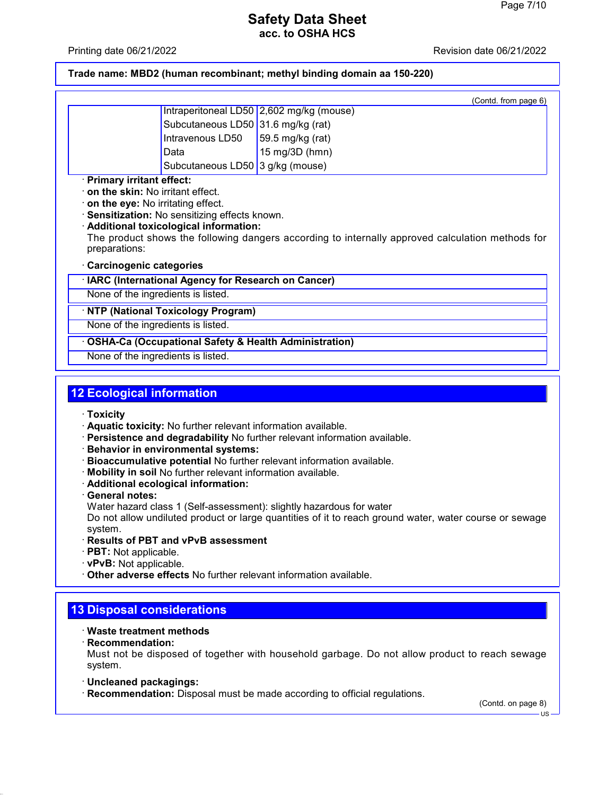Printing date 06/21/2022 Revision date 06/21/2022

**Trade name: MBD2 (human recombinant; methyl binding domain aa 150-220)**

|                                                                                                                                                                                                                                                                                                                  |                                                    | (Contd. from page 6)                                             |
|------------------------------------------------------------------------------------------------------------------------------------------------------------------------------------------------------------------------------------------------------------------------------------------------------------------|----------------------------------------------------|------------------------------------------------------------------|
|                                                                                                                                                                                                                                                                                                                  |                                                    | Intraperitoneal LD50 2,602 mg/kg (mouse)                         |
|                                                                                                                                                                                                                                                                                                                  | Subcutaneous LD50 31.6 mg/kg (rat)                 |                                                                  |
|                                                                                                                                                                                                                                                                                                                  | Intravenous LD50                                   | 59.5 mg/kg (rat)                                                 |
|                                                                                                                                                                                                                                                                                                                  | Data                                               | 15 mg/3D (hmn)                                                   |
|                                                                                                                                                                                                                                                                                                                  | Subcutaneous LD50 3 g/kg (mouse)                   |                                                                  |
| on the skin: No irritant effect.<br>on the eye: No irritating effect.<br>Sensitization: No sensitizing effects known.<br>· Additional toxicological information:<br>The product shows the following dangers according to internally approved calculation methods for<br>preparations:<br>Carcinogenic categories |                                                    |                                                                  |
|                                                                                                                                                                                                                                                                                                                  | IARC (International Agency for Research on Cancer) |                                                                  |
| None of the ingredients is listed.                                                                                                                                                                                                                                                                               |                                                    |                                                                  |
|                                                                                                                                                                                                                                                                                                                  | <b>NTP (National Toxicology Program)</b>           |                                                                  |
| None of the ingredients is listed.                                                                                                                                                                                                                                                                               |                                                    |                                                                  |
|                                                                                                                                                                                                                                                                                                                  |                                                    | <b>OSHA-Ca (Occupational Safety &amp; Health Administration)</b> |
| None of the ingredients is listed.                                                                                                                                                                                                                                                                               |                                                    |                                                                  |

# **12 Ecological information**

- · **Toxicity**
- · **Aquatic toxicity:** No further relevant information available.
- · **Persistence and degradability** No further relevant information available.
- · **Behavior in environmental systems:**
- · **Bioaccumulative potential** No further relevant information available.
- · **Mobility in soil** No further relevant information available.
- · **Additional ecological information:**
- · **General notes:**

Water hazard class 1 (Self-assessment): slightly hazardous for water

Do not allow undiluted product or large quantities of it to reach ground water, water course or sewage system.

### · **Results of PBT and vPvB assessment**

- · **PBT:** Not applicable.
- · **vPvB:** Not applicable.
- · **Other adverse effects** No further relevant information available.

## **13 Disposal considerations**

### · **Waste treatment methods**

· **Recommendation:**

Must not be disposed of together with household garbage. Do not allow product to reach sewage system.

- · **Uncleaned packagings:**
- · **Recommendation:** Disposal must be made according to official regulations.

(Contd. on page 8)

US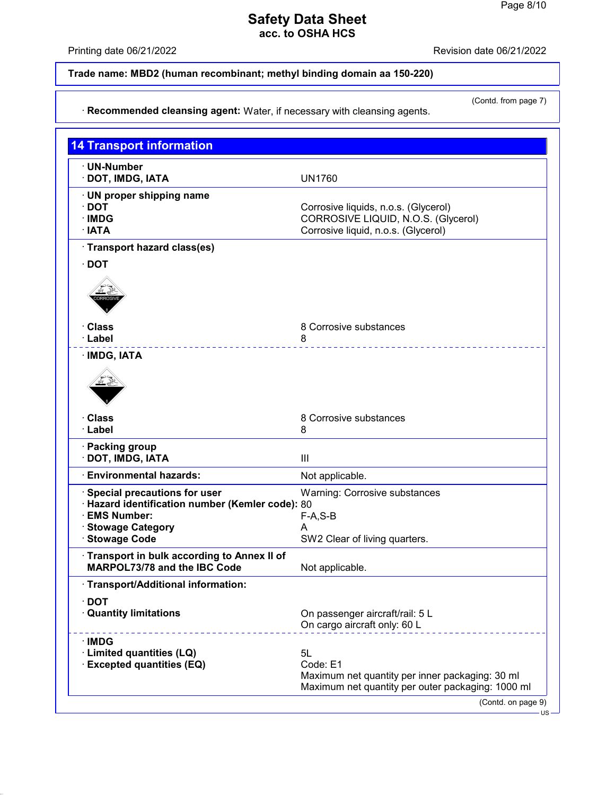Printing date 06/21/2022 Revision date 06/21/2022

# **Trade name: MBD2 (human recombinant; methyl binding domain aa 150-220)**

(Contd. from page 7)

# · **Recommended cleansing agent:** Water, if necessary with cleansing agents.

| <b>14 Transport information</b>                                                   |                                                                                                      |
|-----------------------------------------------------------------------------------|------------------------------------------------------------------------------------------------------|
| · UN-Number<br>· DOT, IMDG, IATA                                                  | <b>UN1760</b>                                                                                        |
| · UN proper shipping name                                                         |                                                                                                      |
| $\cdot$ DOT                                                                       | Corrosive liquids, n.o.s. (Glycerol)                                                                 |
| · IMDG                                                                            | CORROSIVE LIQUID, N.O.S. (Glycerol)                                                                  |
| · IATA                                                                            | Corrosive liquid, n.o.s. (Glycerol)                                                                  |
| · Transport hazard class(es)<br><b>DOT</b>                                        |                                                                                                      |
|                                                                                   |                                                                                                      |
| ∙ Class                                                                           | 8 Corrosive substances                                                                               |
| · Label                                                                           | 8                                                                                                    |
| · IMDG, IATA                                                                      |                                                                                                      |
| <b>Class</b><br>· Label                                                           | 8 Corrosive substances<br>8                                                                          |
| · Packing group<br>· DOT, IMDG, IATA                                              | III                                                                                                  |
| <b>Environmental hazards:</b>                                                     | Not applicable.                                                                                      |
| Special precautions for user                                                      | <b>Warning: Corrosive substances</b>                                                                 |
| Hazard identification number (Kemler code): 80<br><b>EMS Number:</b>              | $F-A, S-B$                                                                                           |
| <b>Stowage Category</b>                                                           | A                                                                                                    |
| <b>Stowage Code</b>                                                               | SW2 Clear of living quarters.                                                                        |
| Transport in bulk according to Annex II of<br><b>MARPOL73/78 and the IBC Code</b> | Not applicable.                                                                                      |
| · Transport/Additional information:                                               |                                                                                                      |
| <b>DOT</b><br><b>Quantity limitations</b>                                         | On passenger aircraft/rail: 5 L<br>On cargo aircraft only: 60 L                                      |
| ∴IMDG                                                                             |                                                                                                      |
| · Limited quantities (LQ)<br><b>Excepted quantities (EQ)</b>                      | 5L<br>Code: E1                                                                                       |
|                                                                                   | Maximum net quantity per inner packaging: 30 ml<br>Maximum net quantity per outer packaging: 1000 ml |
|                                                                                   | (Contd. on page 9)                                                                                   |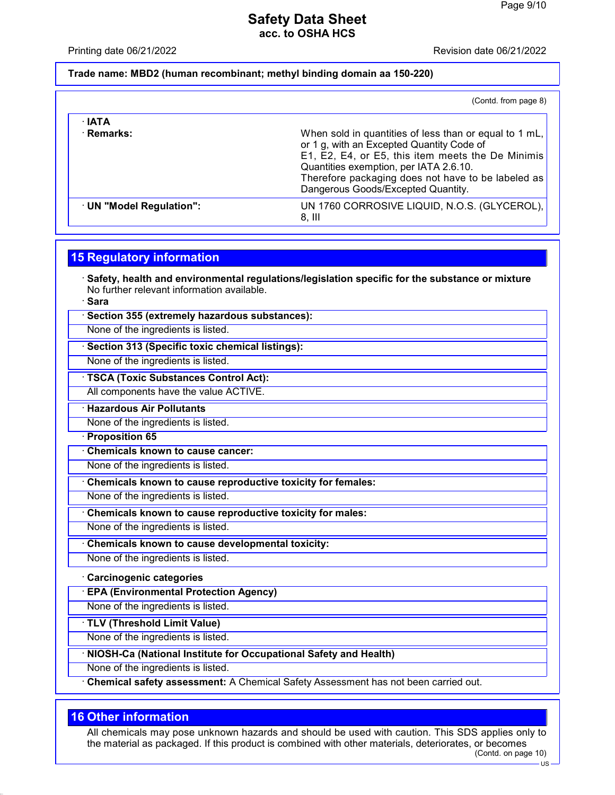Printing date 06/21/2022 Revision date 06/21/2022

### **Trade name: MBD2 (human recombinant; methyl binding domain aa 150-220)**

|                            | (Contd. from page 8)                                                                                                                                                                                                                                                                           |
|----------------------------|------------------------------------------------------------------------------------------------------------------------------------------------------------------------------------------------------------------------------------------------------------------------------------------------|
| $\cdot$ IATA<br>· Remarks: | When sold in quantities of less than or equal to 1 mL,<br>or 1 g, with an Excepted Quantity Code of<br>E1, E2, E4, or E5, this item meets the De Minimis<br>Quantities exemption, per IATA 2.6.10.<br>Therefore packaging does not have to be labeled as<br>Dangerous Goods/Excepted Quantity. |
| UN "Model Regulation":     | UN 1760 CORROSIVE LIQUID, N.O.S. (GLYCEROL),<br>8. III                                                                                                                                                                                                                                         |

## **15 Regulatory information**

· **Safety, health and environmental regulations/legislation specific for the substance or mixture** No further relevant information available.

· **Sara**

· **Section 355 (extremely hazardous substances):**

None of the ingredients is listed.

## · **Section 313 (Specific toxic chemical listings):**

None of the ingredients is listed.

· **TSCA (Toxic Substances Control Act):**

All components have the value ACTIVE.

· **Hazardous Air Pollutants**

None of the ingredients is listed.

· **Proposition 65**

· **Chemicals known to cause cancer:**

None of the ingredients is listed.

· **Chemicals known to cause reproductive toxicity for females:**

None of the ingredients is listed.

· **Chemicals known to cause reproductive toxicity for males:**

None of the ingredients is listed.

· **Chemicals known to cause developmental toxicity:**

None of the ingredients is listed.

· **Carcinogenic categories**

· **EPA (Environmental Protection Agency)**

None of the ingredients is listed.

· **TLV (Threshold Limit Value)**

None of the ingredients is listed.

· **NIOSH-Ca (National Institute for Occupational Safety and Health)**

None of the ingredients is listed.

· **Chemical safety assessment:** A Chemical Safety Assessment has not been carried out.

## **16 Other information**

All chemicals may pose unknown hazards and should be used with caution. This SDS applies only to the material as packaged. If this product is combined with other materials, deteriorates, or becomes (Contd. on page 10)